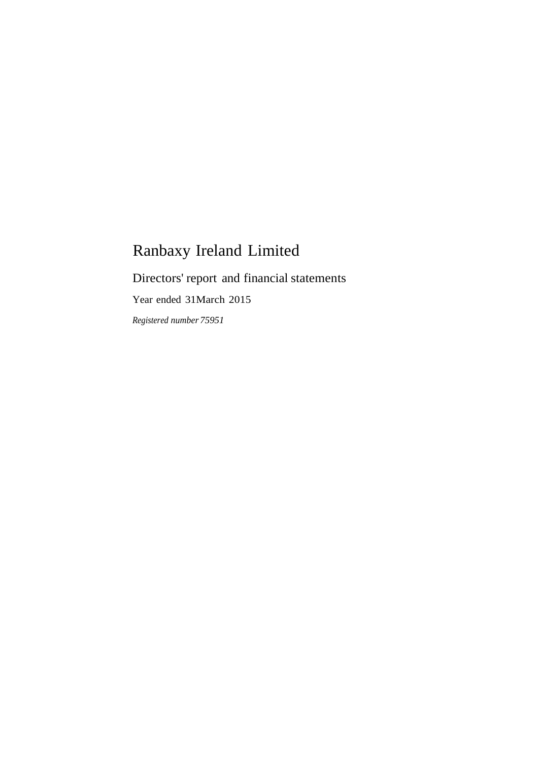Directors' report and financial statements

Year ended 31March 2015

*Registered number 75951*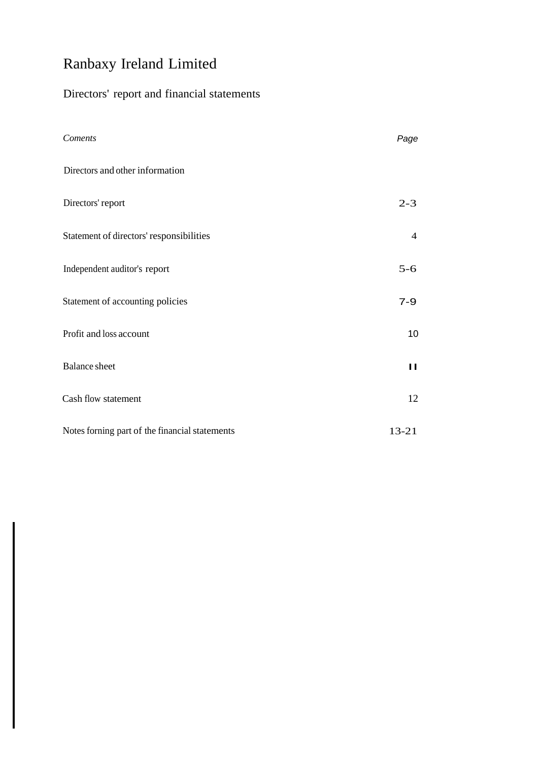## Directors' report and financial statements

| Coments                                        | Page           |
|------------------------------------------------|----------------|
| Directors and other information                |                |
| Directors' report                              | $2 - 3$        |
| Statement of directors' responsibilities       | $\overline{4}$ |
| Independent auditor's report                   | $5 - 6$        |
| Statement of accounting policies               | $7 - 9$        |
| Profit and loss account                        | 10             |
| <b>Balance</b> sheet                           | $\blacksquare$ |
| Cash flow statement                            | 12             |
| Notes forning part of the financial statements | $13 - 21$      |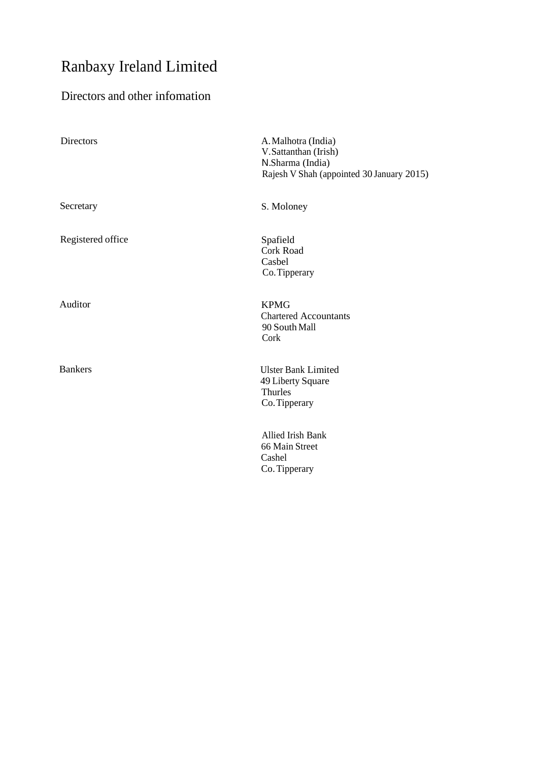# Directors and other infomation

| <b>Directors</b>  | A. Malhotra (India)<br>V.Sattanthan (Irish)<br>N.Sharma (India)<br>Rajesh V Shah (appointed 30 January 2015) |
|-------------------|--------------------------------------------------------------------------------------------------------------|
| Secretary         | S. Moloney                                                                                                   |
| Registered office | Spafield<br>Cork Road<br>Casbel<br>Co. Tipperary                                                             |
| Auditor           | <b>KPMG</b><br><b>Chartered Accountants</b><br>90 South Mall<br>Cork                                         |
| <b>Bankers</b>    | <b>Ulster Bank Limited</b><br>49 Liberty Square<br>Thurles<br>Co. Tipperary                                  |
|                   | Allied Irish Bank<br>66 Main Street<br>Cashel<br>Co. Tipperary                                               |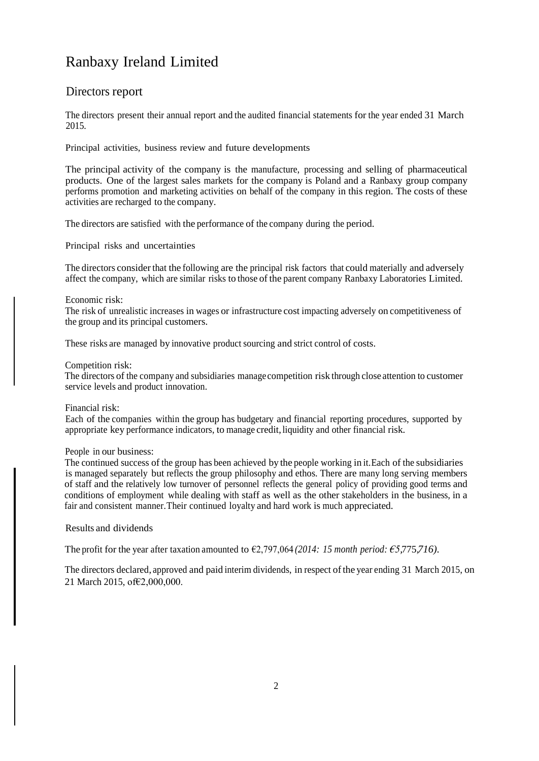### Directors report

The directors present their annual report and the audited financial statements for the year ended 31 March 2015.

Principal activities, business review and future developments

The principal activity of the company is the manufacture, processing and selling of pharmaceutical products. One of the largest sales markets for the company is Poland and a Ranbaxy group company performs promotion and marketing activities on behalf of the company in this region. The costs of these activities are recharged to the company.

The directors are satisfied with the performance of the company during the period.

Principal risks and uncertainties

The directors considerthat the following are the principal risk factors that could materially and adversely affect the company, which are similar risks to those of the parent company Ranbaxy Laboratories Limited.

#### Economic risk:

The risk of unrealistic increases in wages or infrastructure cost impacting adversely on competitiveness of the group and its principal customers.

These risks are managed by innovative product sourcing and strict control of costs.

#### Competition risk:

The directors of the company and subsidiaries managecompetition risk through close attention to customer service levels and product innovation.

Financial risk:

Each of the companies within the group has budgetary and financial reporting procedures, supported by appropriate key performance indicators, to manage credit, liquidity and other financial risk.

#### People in our business:

The continued success of the group has been achieved by the people working in it.Each of the subsidiaries is managed separately but reflects the group philosophy and ethos. There are many long serving members of staff and the relatively low turnover of personnel reflects the general policy of providing good terms and conditions of employment while dealing with staff as well as the other stakeholders in the business, in a fair and consistent manner.Their continued loyalty and hard work is much appreciated.

Results and dividends

The profit for the year after taxation amounted to €2,797,064 *(2014: 15 month period: €5,*775,*716).*

The directors declared, approved and paid interim dividends, in respect ofthe year ending 31 March 2015, on 21 March 2015, of€2,000,000.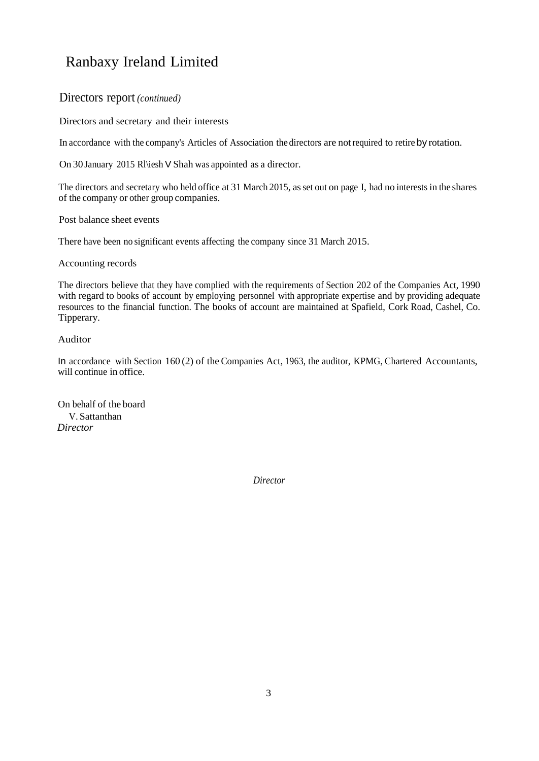### Directors report *(continued)*

Directors and secretary and their interests

In accordance with the company's Articles of Association the directors are notrequired to retire by rotation.

On 30 January 2015 Rl\iesh V Shah was appointed as a director.

The directors and secretary who held office at 31 March 2015, as set out on page I, had no interests in the shares of the company or other group companies.

Post balance sheet events

There have been no significant events affecting the company since 31 March 2015.

Accounting records

The directors believe that they have complied with the requirements of Section 202 of the Companies Act, 1990 with regard to books of account by employing personnel with appropriate expertise and by providing adequate resources to the financial function. The books of account are maintained at Spafield, Cork Road, Cashel, Co. Tipperary.

### Auditor

In accordance with Section 160 (2) of the Companies Act, 1963, the auditor, KPMG, Chartered Accountants, will continue in office.

On behalf of the board V. Sattanthan *Director*

*Director*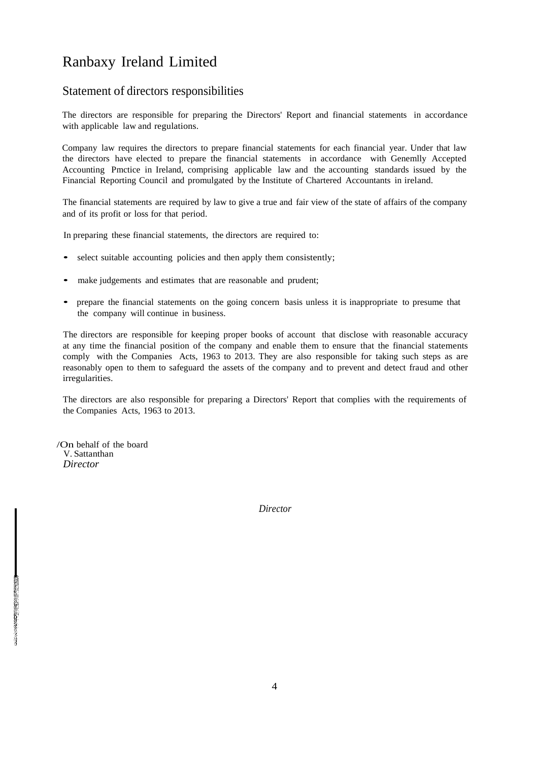### Statement of directors responsibilities

The directors are responsible for preparing the Directors' Report and financial statements in accordance with applicable law and regulations.

Company law requires the directors to prepare financial statements for each financial year. Under that law the directors have elected to prepare the financial statements in accordance with Genemlly Accepted Accounting Pmctice in Ireland, comprising applicable law and the accounting standards issued by the Financial Reporting Council and promulgated by the Institute of Chartered Accountants in ireland.

The financial statements are required by law to give a true and fair view of the state of affairs of the company and of its profit or loss for that period.

In preparing these financial statements, the directors are required to:

- select suitable accounting policies and then apply them consistently;
- make judgements and estimates that are reasonable and prudent;
- prepare the financial statements on the going concern basis unless it is inappropriate to presume that the company will continue in business.

The directors are responsible for keeping proper books of account that disclose with reasonable accuracy at any time the financial position of the company and enable them to ensure that the financial statements comply with the Companies Acts, 1963 to 2013. They are also responsible for taking such steps as are reasonably open to them to safeguard the assets of the company and to prevent and detect fraud and other irregularities.

The directors are also responsible for preparing a Directors' Report that complies with the requirements of the Companies Acts, 1963 to 2013.

/On behalf of the board V. Sattanthan *Director*

*Director*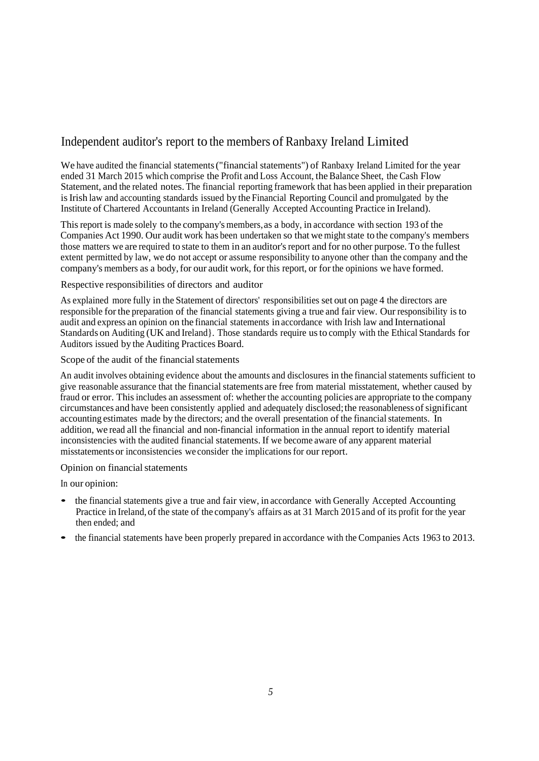### Independent auditor's report to the members of Ranbaxy Ireland Limited

We have audited the financial statements("financial statements") of Ranbaxy Ireland Limited for the year ended 31 March 2015 which comprise the Profit and Loss Account, the Balance Sheet, the Cash Flow Statement, and the related notes. The financial reporting framework that has been applied in their preparation is Irish law and accounting standards issued by the Financial Reporting Council and promulgated by the Institute of Chartered Accountants in Ireland (Generally Accepted Accounting Practice in Ireland).

This report is made solely to the company's members, as a body, in accordance with section 193 of the Companies Act 1990. Our audit work has been undertaken so that we might state to the company's members those matters we are required to state to them in an auditor's report and for no other purpose. To the fullest extent permitted by law, we do not accept or assume responsibility to anyone other than the company and the company's members as a body, for our audit work, for this report, or for the opinions we have formed.

#### Respective responsibilities of directors and auditor

As explained more fully in the Statement of directors' responsibilities set out on page 4 the directors are responsible for the preparation of the financial statements giving a true and fair view. Our responsibility isto audit and express an opinion on the financial statements in accordance with Irish law and International Standards on Auditing (UK and Ireland}. Those standards require usto comply with the Ethical Standards for Auditors issued by the Auditing Practices Board.

#### Scope of the audit of the financial statements

An audit involves obtaining evidence about the amounts and disclosures in the financial statements sufficient to give reasonable assurance that the financial statements are free from material misstatement, whether caused by fraud or error. This includes an assessment of: whether the accounting policies are appropriate to the company circumstances and have been consistently applied and adequately disclosed; the reasonableness of significant accounting estimates made by the directors; and the overall presentation of the financial statements. In addition, we read all the financial and non-financial information in the annual report to identify material inconsistencies with the audited financial statements. If we become aware of any apparent material misstatementsor inconsistencies we consider the implications for our report.

### Opinion on financial statements

In our opinion:

- the financial statements give a true and fair view, in accordance with Generally Accepted Accounting Practice in Ireland, of the state of the company's affairs as at 31 March 2015 and of its profit for the year then ended; and
- the financial statements have been properly prepared in accordance with the Companies Acts <sup>1963</sup> to 2013.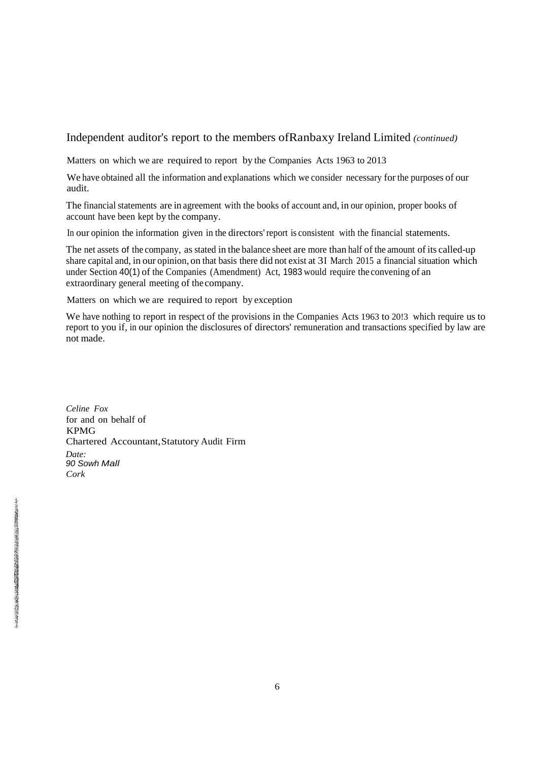### Independent auditor's report to the members ofRanbaxy Ireland Limited *(continued)*

Matters on which we are required to report by the Companies Acts 1963 to 2013

We have obtained all the information and explanations which we consider necessary for the purposes of our audit.

The financial statements are in agreement with the books of account and, in our opinion, proper books of account have been kept by the company.

In our opinion the information given in the directors'report is consistent with the financial statements.

The net assets of the company, as stated in the balance sheet are more than half of the amount of its called-up share capital and, in our opinion, on that basis there did not exist at 3I March 2015 a financial situation which under Section 40(1) of the Companies (Amendment) Act, 1983 would require the convening of an extraordinary general meeting of the company.

Matters on which we are required to report by exception

We have nothing to report in respect of the provisions in the Companies Acts 1963 to 20!3 which require us to report to you if, in our opinion the disclosures of directors' remuneration and transactions specified by law are not made.

*Celine Fox* for and on behalf of KPMG Chartered Accountant,Statutory Audit Firm *Date: 90 Sowh Mall Cork*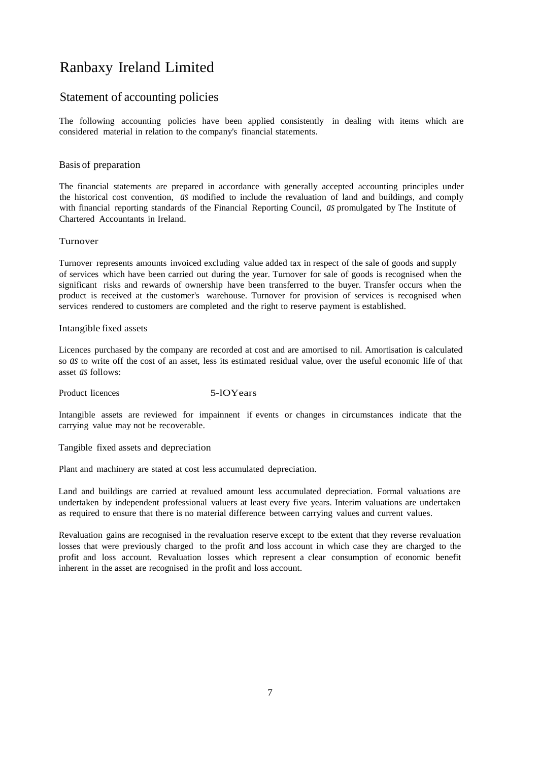### Statement of accounting policies

The following accounting policies have been applied consistently in dealing with items which are considered material in relation to the company's financial statements.

#### Basis of preparation

The financial statements are prepared in accordance with generally accepted accounting principles under the historical cost convention, *as* modified to include the revaluation of land and buildings, and comply with financial reporting standards of the Financial Reporting Council, *as* promulgated by The Institute of Chartered Accountants in Ireland.

#### Turnover

Turnover represents amounts invoiced excluding value added tax in respect of the sale of goods and supply of services which have been carried out during the year. Turnover for sale of goods is recognised when the significant risks and rewards of ownership have been transferred to the buyer. Transfer occurs when the product is received at the customer's warehouse. Turnover for provision of services is recognised when services rendered to customers are completed and the right to reserve payment is established.

#### Intangible fixed assets

Licences purchased by the company are recorded at cost and are amortised to nil. Amortisation is calculated so *as* to write off the cost of an asset, less its estimated residual value, over the useful economic life of that asset *as* follows:

Product licences 5-lOYears

Intangible assets are reviewed for impainnent if events or changes in circumstances indicate that the carrying value may not be recoverable.

Tangible fixed assets and depreciation

Plant and machinery are stated at cost less accumulated depreciation.

Land and buildings are carried at revalued amount less accumulated depreciation. Formal valuations are undertaken by independent professional valuers at least every five years. Interim valuations are undertaken as required to ensure that there is no material difference between carrying values and current values.

Revaluation gains are recognised in the revaluation reserve except to tbe extent that they reverse revaluation losses that were previously charged to the profit and loss account in which case they are charged to the profit and loss account. Revaluation losses which represent a clear consumption of economic benefit inherent in the asset are recognised in the profit and loss account.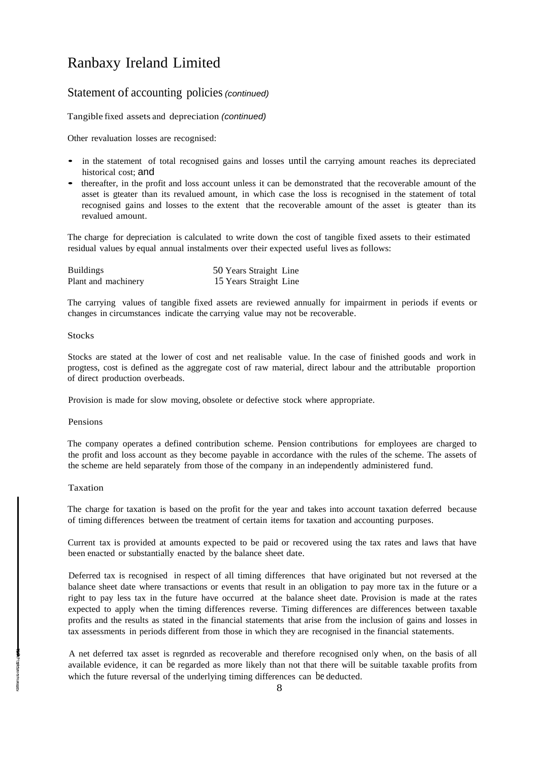### Statement of accounting policies*(continued)*

Tangible fixed assets and depreciation *(continued)*

Other revaluation losses are recognised:

- in the statement of total recognised gains and losses until the carrying amount reaches its depreciated historical cost; and
- thereafter, in the profit and loss account unless it can be demonstrated that the recoverable amount of the asset is gteater than its revalued amount, in which case the loss is recognised in the statement of total recognised gains and losses to the extent that the recoverable amount of the asset is gteater than its revalued amount.

The charge for depreciation is calculated to write down the cost of tangible fixed assets to their estimated residual values by equal annual instalments over their expected useful lives as follows:

| <b>Buildings</b>    | 50 Years Straight Line |
|---------------------|------------------------|
| Plant and machinery | 15 Years Straight Line |

The carrying values of tangible fixed assets are reviewed annually for impairment in periods if events or changes in circumstances indicate the carrying value may not be recoverable.

#### **Stocks**

Stocks are stated at the lower of cost and net realisable value. In the case of finished goods and work in progtess, cost is defined as the aggregate cost of raw material, direct labour and the attributable proportion of direct production overbeads.

Provision is made for slow moving, obsolete or defective stock where appropriate.

#### Pensions

The company operates a defined contribution scheme. Pension contributions for employees are charged to the profit and loss account as they become payable in accordance with the rules of the scheme. The assets of the scheme are held separately from those of the company in an independently administered fund.

#### Taxation

The charge for taxation is based on the profit for the year and takes into account taxation deferred because of timing differences between tbe treatment of certain items for taxation and accounting purposes.

Current tax is provided at amounts expected to be paid or recovered using the tax rates and laws that have been enacted or substantially enacted by the balance sheet date.

Deferred tax is recognised in respect of all timing differences that have originated but not reversed at the balance sheet date where transactions or events that result in an obligation to pay more tax in the future or a right to pay less tax in the future have occurred at the balance sheet date. Provision is made at the rates expected to apply when the timing differences reverse. Timing differences are differences between taxable profits and the results as stated in the financial statements that arise from the inclusion of gains and losses in tax assessments in periods different from those in which they are recognised in the financial statements.

A net deferred tax asset is regnrded as recoverable and therefore recognised onIy when, on the basis of all available evidence, it can be regarded as more likely than not that there will be suitable taxable profits from which the future reversal of the underlying timing differences can be deducted.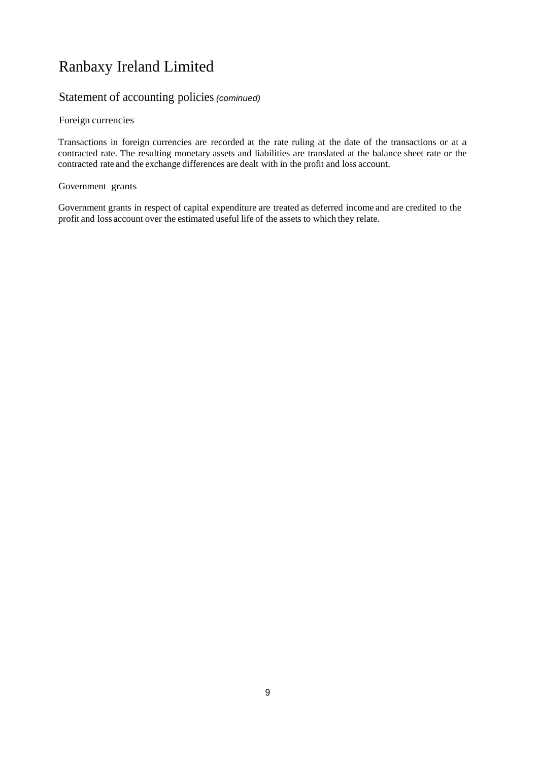### Statement of accounting policies*(cominued)*

### Foreign currencies

Transactions in foreign currencies are recorded at the rate ruling at the date of the transactions or at a contracted rate. The resulting monetary assets and liabilities are translated at the balance sheet rate or the contracted rate and the exchange differences are dealt with in the profit and loss account.

### Government grants

Government grants in respect of capital expenditure are treated as deferred income and are credited to the profit and loss account over the estimated useful life of the assets to which they relate.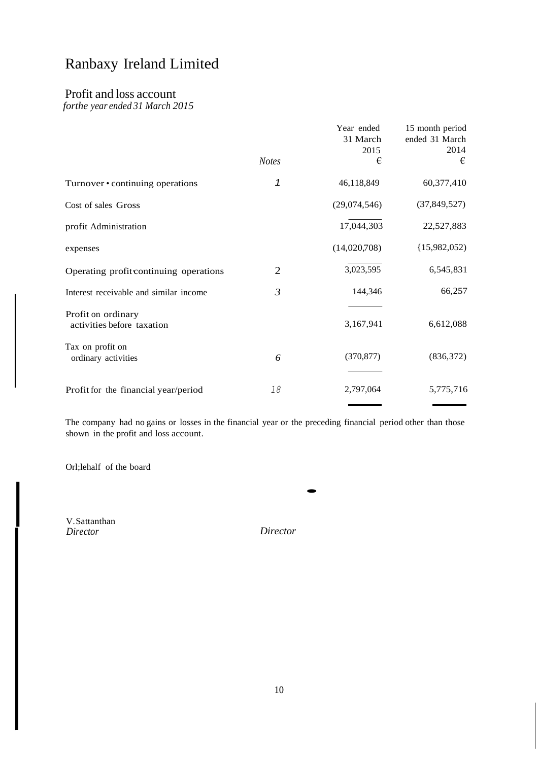### Profit and loss account

*forthe year ended 31 March 2015*

|                                                  | <b>Notes</b>   | Year ended<br>31 March<br>2015<br>€ | 15 month period<br>ended 31 March<br>2014<br>€ |
|--------------------------------------------------|----------------|-------------------------------------|------------------------------------------------|
| Turnover • continuing operations                 | 1              | 46,118,849                          | 60,377,410                                     |
| Cost of sales Gross                              |                | (29,074,546)                        | (37, 849, 527)                                 |
| profit Administration                            |                | 17,044,303                          | 22,527,883                                     |
| expenses                                         |                | (14,020,708)                        | (15,982,052)                                   |
| Operating profit continuing operations           | 2              | 3,023,595                           | 6,545,831                                      |
| Interest receivable and similar income           | $\mathfrak{Z}$ | 144,346                             | 66,257                                         |
| Profit on ordinary<br>activities before taxation |                | 3,167,941                           | 6,612,088                                      |
| Tax on profit on<br>ordinary activities          | 6              | (370, 877)                          | (836,372)                                      |
| Profit for the financial year/period             | 18             | 2,797,064                           | 5,775,716                                      |

The company had no gains or losses in the financial year or the preceding financial period other than those shown in the profit and loss account.

Orl;lehalf of the board

V.Sattanthan *Director*

I

*Director*

·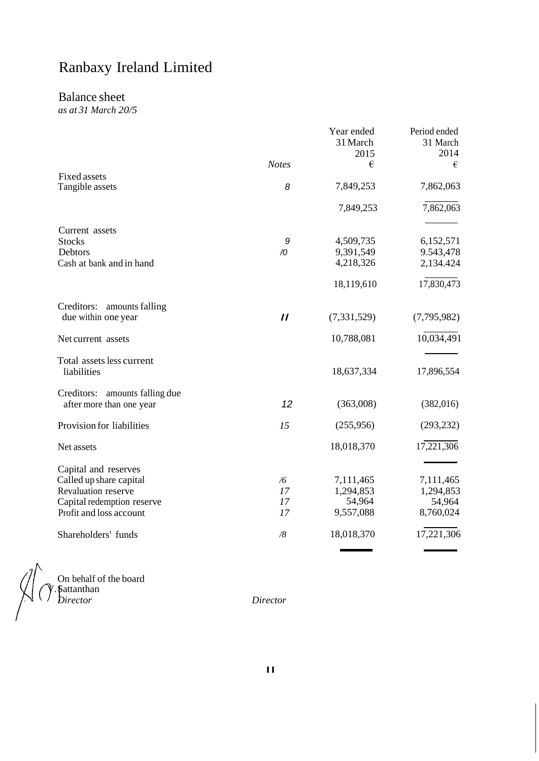### Balance sheet

*as at 31 March 20/5*

|                                                               |               | Year ended<br>31 March<br>2015 | Period ended<br>31 March<br>2014 |
|---------------------------------------------------------------|---------------|--------------------------------|----------------------------------|
|                                                               | <b>Notes</b>  | €                              | €                                |
| <b>Fixed assets</b><br>Tangible assets                        | 8             | 7,849,253                      | 7,862,063                        |
|                                                               |               | 7,849,253                      | 7,862,063                        |
| Current assets                                                |               |                                |                                  |
| <b>Stocks</b>                                                 | 9             | 4,509,735                      | 6,152,571                        |
| Debtors                                                       | $\sqrt{0}$    | 9,391,549                      | 9.543,478                        |
| Cash at bank and in hand                                      |               | 4,218,326                      | 2,134.424                        |
|                                                               |               | 18,119,610                     | 17,830,473                       |
| Creditors:<br>amounts falling<br>due within one year          | $\mathcal{U}$ | (7, 331, 529)                  | (7,795,982)                      |
| Net current assets                                            |               | 10,788,081                     | 10,034,491                       |
| Total assets less current<br>liabilities                      |               | 18,637,334                     | 17,896,554                       |
| Creditors:<br>amounts falling due<br>after more than one year | 12            | (363,008)                      | (382,016)                        |
| Provision for liabilities                                     | 15            | (255,956)                      | (293, 232)                       |
| Net assets                                                    |               | 18,018,370                     | 17,221,306                       |
| Capital and reserves                                          |               |                                |                                  |
| Called up share capital                                       | /6            | 7,111,465                      | 7,111,465                        |
| Revaluation reserve                                           | 17            | 1,294,853                      | 1,294,853                        |
| Capital redemption reserve                                    | 17            | 54,964                         | 54,964                           |
| Profit and loss account                                       | 17            | 9,557,088                      | 8,760,024                        |
| Shareholders' funds                                           | /8            | 18,018,370                     | 17,221,306                       |

 $V / V$ . Sattanthan

On behalf of the board *Director Director*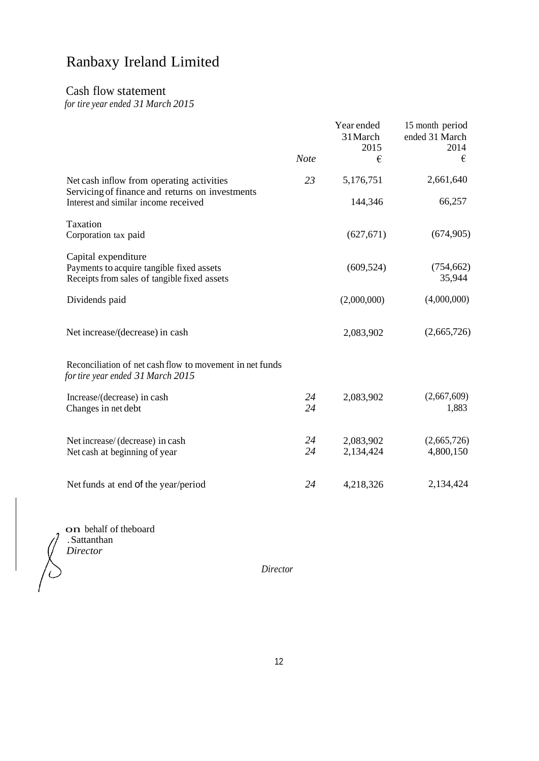### Cash flow statement

*for tire year ended 31 March 2015*

|                                                                                                                  | <b>Note</b> | Year ended<br>31 March<br>2015<br>€ | 15 month period<br>ended 31 March<br>2014<br>€ |
|------------------------------------------------------------------------------------------------------------------|-------------|-------------------------------------|------------------------------------------------|
| Net cash inflow from operating activities<br>Servicing of finance and returns on investments                     | 23          | 5,176,751                           | 2,661,640                                      |
| Interest and similar income received                                                                             |             | 144,346                             | 66,257                                         |
| Taxation<br>Corporation tax paid                                                                                 |             | (627, 671)                          | (674, 905)                                     |
| Capital expenditure<br>Payments to acquire tangible fixed assets<br>Receipts from sales of tangible fixed assets |             | (609, 524)                          | (754, 662)<br>35,944                           |
| Dividends paid                                                                                                   |             | (2,000,000)                         | (4,000,000)                                    |
| Net increase/(decrease) in cash                                                                                  |             | 2,083,902                           | (2,665,726)                                    |
| Reconciliation of net cash flow to movement in net funds<br>for tire year ended 31 March 2015                    |             |                                     |                                                |
| Increase/(decrease) in cash<br>Changes in net debt                                                               | 24<br>24    | 2,083,902                           | (2,667,609)<br>1,883                           |
| Net increase/ (decrease) in cash                                                                                 | 24          | 2,083,902                           | (2,665,726)                                    |
| Net cash at beginning of year                                                                                    | 24          | 2,134,424                           | 4,800,150                                      |
| Net funds at end of the year/period                                                                              | 24          | 4,218,326                           | 2,134,424                                      |

on behalf of theboard .Sattanthan *Director*

*Director*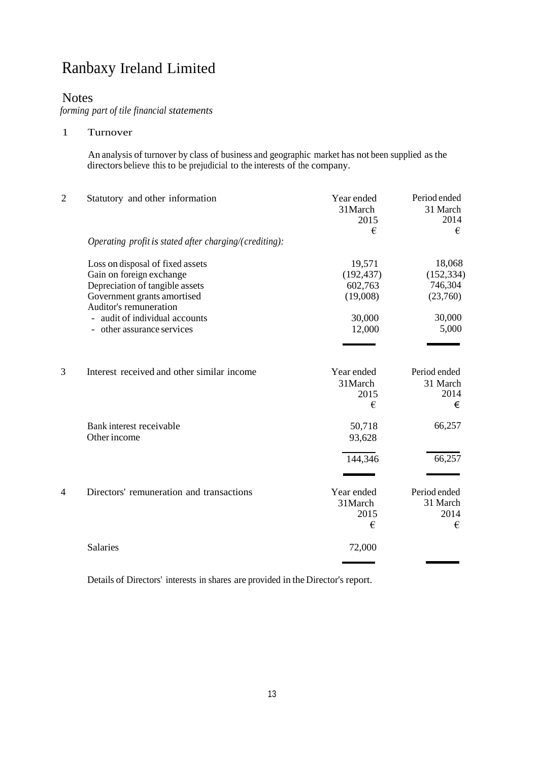### Notes

*forming part of tile financial statements*

1 Turnover

An analysis of turnover by class of business and geographic market has not been supplied as the directors believe this to be prejudicial to the interests of the company.

| $\overline{2}$ | Statutory and other information                                                                                                | Year ended<br>31 March<br>2015<br>€         | Period ended<br>31 March<br>2014<br>€       |
|----------------|--------------------------------------------------------------------------------------------------------------------------------|---------------------------------------------|---------------------------------------------|
|                | Operating profit is stated after charging/(crediting):                                                                         |                                             |                                             |
|                | Loss on disposal of fixed assets<br>Gain on foreign exchange<br>Depreciation of tangible assets<br>Government grants amortised | 19,571<br>(192, 437)<br>602,763<br>(19,008) | 18,068<br>(152, 334)<br>746,304<br>(23,760) |
|                | Auditor's remuneration<br>- audit of individual accounts<br>- other assurance services                                         | 30,000<br>12,000                            | 30,000<br>5,000                             |
| 3              | Interest received and other similar income                                                                                     | Year ended<br>31 March<br>2015<br>€         | Period ended<br>31 March<br>2014<br>€       |
|                | Bank interest receivable<br>Other income                                                                                       | 50,718<br>93,628                            | 66,257                                      |
|                |                                                                                                                                | 144,346                                     | 66,257                                      |
| $\overline{4}$ | Directors' remuneration and transactions                                                                                       | Year ended<br>31 March<br>2015<br>€         | Period ended<br>31 March<br>2014<br>€       |
|                | Salaries                                                                                                                       | 72,000                                      |                                             |

Details of Directors' interests in shares are provided in the Director's report.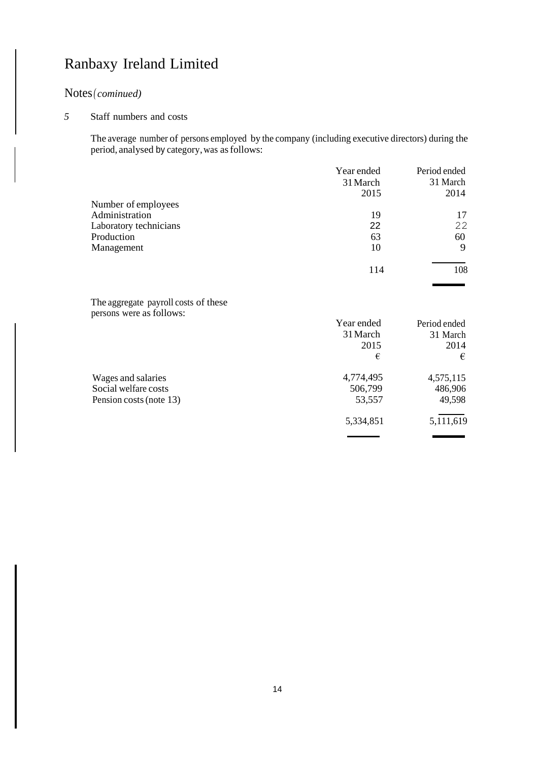### Notes*( cominued)*

### *5* Staff numbers and costs

The average number of persons employed by the company (including executive directors) during the period, analysed by category,was asfollows:

|                                      | Year ended | Period ended |
|--------------------------------------|------------|--------------|
|                                      | 31 March   | 31 March     |
|                                      | 2015       | 2014         |
| Number of employees                  |            |              |
| Administration                       | 19         | 17           |
| Laboratory technicians               | 22         | 22           |
| Production                           | 63         | 60           |
| Management                           | 10         | 9            |
|                                      | 114        | 108          |
|                                      |            |              |
| The aggregate payroll costs of these |            |              |
| persons were as follows:             |            |              |
|                                      | Year ended | Period ended |
|                                      | 31 March   | 31 March     |
|                                      | 2015       | 2014         |
|                                      | €          | €            |
| Wages and salaries                   | 4,774,495  | 4,575,115    |
| Social welfare costs                 | 506,799    | 486,906      |
| Pension costs (note 13)              | 53,557     | 49,598       |
|                                      | 5,334,851  | 5,111,619    |
|                                      |            |              |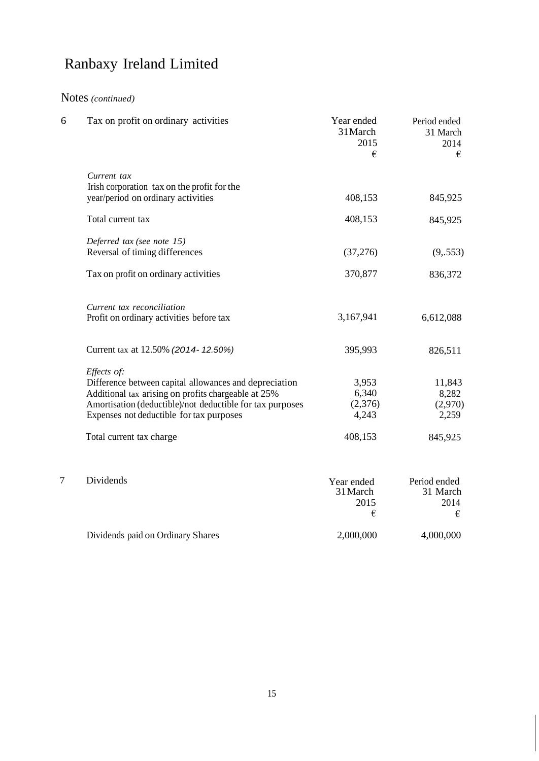## Notes *(continued)*

| 6 | Tax on profit on ordinary activities                                                                                                                                                                                                  | Year ended<br>31 March<br>2015<br>€ | Period ended<br>31 March<br>2014<br>€ |
|---|---------------------------------------------------------------------------------------------------------------------------------------------------------------------------------------------------------------------------------------|-------------------------------------|---------------------------------------|
|   | Current tax<br>Irish corporation tax on the profit for the<br>year/period on ordinary activities                                                                                                                                      | 408,153                             | 845,925                               |
|   | Total current tax                                                                                                                                                                                                                     | 408,153                             | 845,925                               |
|   | Deferred tax (see note 15)<br>Reversal of timing differences                                                                                                                                                                          | (37, 276)                           | (9, .553)                             |
|   | Tax on profit on ordinary activities                                                                                                                                                                                                  | 370,877                             | 836,372                               |
|   | Current tax reconciliation<br>Profit on ordinary activities before tax                                                                                                                                                                | 3,167,941                           | 6,612,088                             |
|   | Current tax at 12.50% (2014-12.50%)                                                                                                                                                                                                   | 395,993                             | 826,511                               |
|   | Effects of:<br>Difference between capital allowances and depreciation<br>Additional tax arising on profits chargeable at 25%<br>Amortisation (deductible)/not deductible for tax purposes<br>Expenses not deductible for tax purposes | 3,953<br>6,340<br>(2,376)<br>4,243  | 11,843<br>8,282<br>(2,970)<br>2,259   |
|   | Total current tax charge                                                                                                                                                                                                              | 408,153                             | 845,925                               |
| 7 | Dividends                                                                                                                                                                                                                             | Year ended<br>31 March<br>2015<br>€ | Period ended<br>31 March<br>2014<br>€ |
|   | Dividends paid on Ordinary Shares                                                                                                                                                                                                     | 2,000,000                           | 4,000,000                             |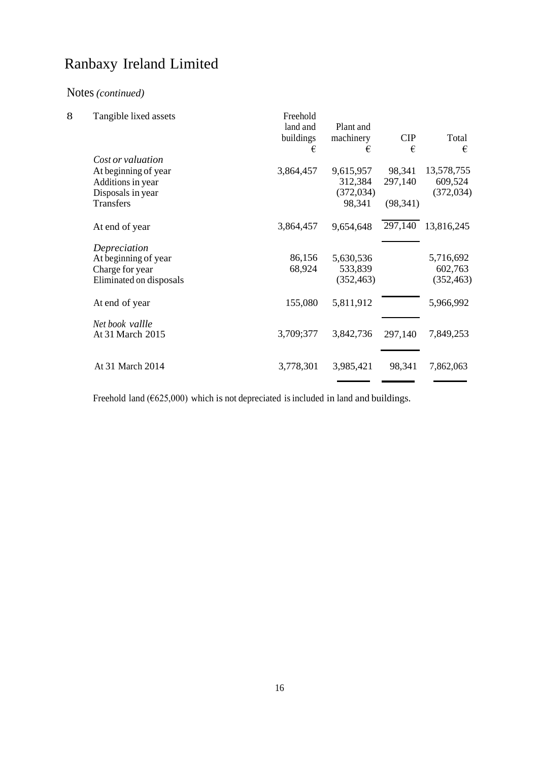### Notes *(continued)*

| 8 | Tangible lixed assets   | Freehold<br>land and<br>buildings | Plant and<br>machinery | <b>CIP</b> | Total      |
|---|-------------------------|-----------------------------------|------------------------|------------|------------|
|   | Cost or valuation       | €                                 | €                      | €          | €          |
|   | At beginning of year    | 3,864,457                         | 9,615,957              | 98,341     | 13,578,755 |
|   | Additions in year       |                                   | 312,384                | 297,140    | 609,524    |
|   | Disposals in year       |                                   | (372, 034)             |            | (372, 034) |
|   | <b>Transfers</b>        |                                   | 98,341                 | (98, 341)  |            |
|   | At end of year          | 3,864,457                         | 9,654,648              | 297,140    | 13,816,245 |
|   | Depreciation            |                                   |                        |            |            |
|   | At beginning of year    | 86,156                            | 5,630,536              |            | 5,716,692  |
|   | Charge for year         | 68,924                            | 533,839                |            | 602,763    |
|   | Eliminated on disposals |                                   | (352, 463)             |            | (352, 463) |
|   | At end of year          | 155,080                           | 5,811,912              |            | 5,966,992  |
|   | Net book vallle         |                                   |                        |            |            |
|   | At 31 March 2015        | 3,709;377                         | 3,842,736              | 297,140    | 7,849,253  |
|   |                         |                                   |                        |            |            |
|   | At 31 March 2014        | 3,778,301                         | 3,985,421              | 98,341     | 7,862,063  |
|   |                         |                                   |                        |            |            |

Freehold land ( $625,000$ ) which is not depreciated is included in land and buildings.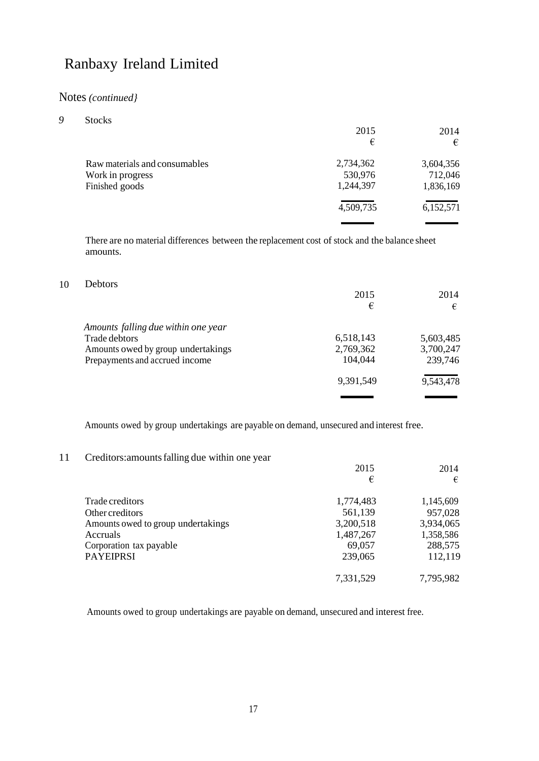### Notes *(continued}*

| Q | <b>Stocks</b>                 |           |           |
|---|-------------------------------|-----------|-----------|
|   |                               | 2015      | 2014      |
|   |                               | €         | €         |
|   | Raw materials and consumables | 2,734,362 | 3,604,356 |
|   | Work in progress              | 530,976   | 712,046   |
|   | Finished goods                | 1,244,397 | 1,836,169 |
|   |                               | 4,509,735 | 6,152,571 |
|   |                               |           |           |

There are no material differences between the replacement cost of stock and the balance sheet amounts.

### 10 Debtors

|                                     | 2015      | 2014      |
|-------------------------------------|-----------|-----------|
|                                     | €         | €         |
| Amounts falling due within one year |           |           |
| Trade debtors                       | 6,518,143 | 5,603,485 |
| Amounts owed by group undertakings  | 2,769,362 | 3,700,247 |
| Prepayments and accrued income      | 104,044   | 239,746   |
|                                     | 9,391,549 | 9,543,478 |
|                                     |           |           |

Amounts owed by group undertakings are payable on demand, unsecured and interest free.

### 11 Creditors:amountsfalling due within one year

|                                    | 2015      | 2014      |
|------------------------------------|-----------|-----------|
|                                    | €         | €         |
| Trade creditors                    | 1,774,483 | 1,145,609 |
| Other creditors                    | 561,139   | 957,028   |
| Amounts owed to group undertakings | 3,200,518 | 3,934,065 |
| Accruals                           | 1,487,267 | 1,358,586 |
| Corporation tax payable            | 69,057    | 288,575   |
| <b>PAYEIPRSI</b>                   | 239,065   | 112,119   |
|                                    | 7,331,529 | 7,795,982 |

Amounts owed to group undertakings are payable on demand, unsecured and interest free.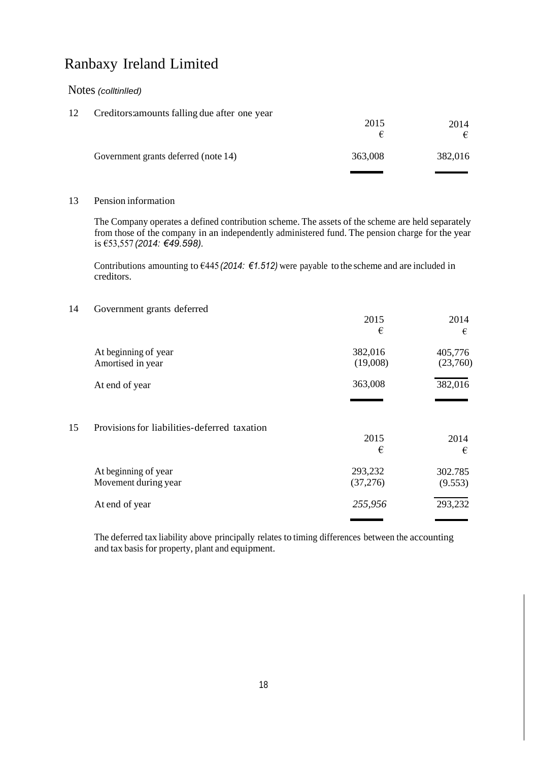### Notes *(colltinlled)*

| 12 | Creditors: amounts falling due after one year | 2015    | 2014<br>€ |  |
|----|-----------------------------------------------|---------|-----------|--|
|    | Government grants deferred (note 14)          | 363,008 | 382,016   |  |
|    |                                               |         |           |  |

#### 13 Pension information

The Company operates a defined contribution scheme. The assets of the scheme are held separately from those of the company in an independently administered fund. The pension charge for the year is €53,557 *(2014: €49.598).*

Contributions amounting to €445 *(2014: €1.512)* were payable to the scheme and are included in creditors.

#### 14 Government grants deferred

|    |                                              | 2015<br>€           | 2014<br>€           |
|----|----------------------------------------------|---------------------|---------------------|
|    | At beginning of year<br>Amortised in year    | 382,016<br>(19,008) | 405,776<br>(23,760) |
|    | At end of year                               | 363,008             | 382,016             |
| 15 | Provisions for liabilities-deferred taxation | 2015<br>€           | 2014<br>€           |
|    | At beginning of year<br>Movement during year | 293,232<br>(37,276) | 302.785<br>(9.553)  |
|    | At end of year                               | 255,956             | 293,232             |
|    |                                              |                     |                     |

The deferred tax liability above principally relates to timing differences between the accounting and tax basis for property, plant and equipment.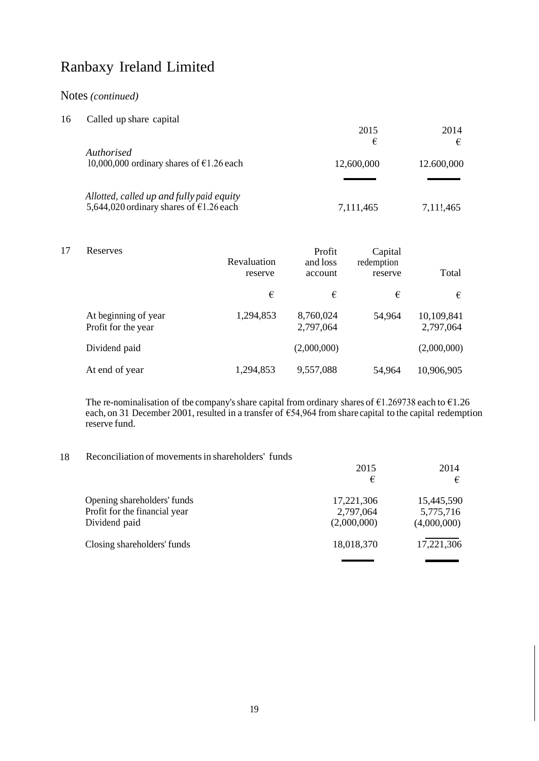### Notes *(continued)*

| 16 | Called up share capital                            |            |            |
|----|----------------------------------------------------|------------|------------|
|    |                                                    | 2015       | 2014       |
|    |                                                    | €          | €          |
|    | Authorised                                         |            |            |
|    | 10,000,000 ordinary shares of $\epsilon$ 1.26 each | 12,600,000 | 12.600,000 |
|    |                                                    |            |            |
|    | Allotted, called up and fully paid equity          |            |            |
|    | 5,644,020 ordinary shares of $\epsilon$ 1.26 each  | 7,111,465  | 7,11!,465  |

| 17 | Reserves                                    | Revaluation<br>reserve | Profit<br>and loss<br>account | Capital<br>redemption<br>reserve | Total                   |
|----|---------------------------------------------|------------------------|-------------------------------|----------------------------------|-------------------------|
|    |                                             | €                      | €                             | €                                | €                       |
|    | At beginning of year<br>Profit for the year | 1,294,853              | 8,760,024<br>2,797,064        | 54,964                           | 10,109,841<br>2,797,064 |
|    | Dividend paid                               |                        | (2,000,000)                   |                                  | (2,000,000)             |
|    | At end of year                              | 1,294,853              | 9,557,088                     | 54.964                           | 10,906,905              |

The re-nominalisation of tbe company's share capital from ordinary shares of  $\epsilon$ 1.269738 each to  $\epsilon$ 1.26 each, on 31 December 2001, resulted in a transfer of €54,964 from share capital to the capital redemption reserve fund.

#### 18 Reconciliation of movementsin shareholders' funds

|                               | 2015        | 2014        |
|-------------------------------|-------------|-------------|
|                               | €           | €           |
| Opening shareholders' funds   | 17,221,306  | 15,445,590  |
| Profit for the financial year | 2,797,064   | 5,775,716   |
| Dividend paid                 | (2,000,000) | (4,000,000) |
| Closing shareholders' funds   | 18,018,370  | 17,221,306  |
|                               |             |             |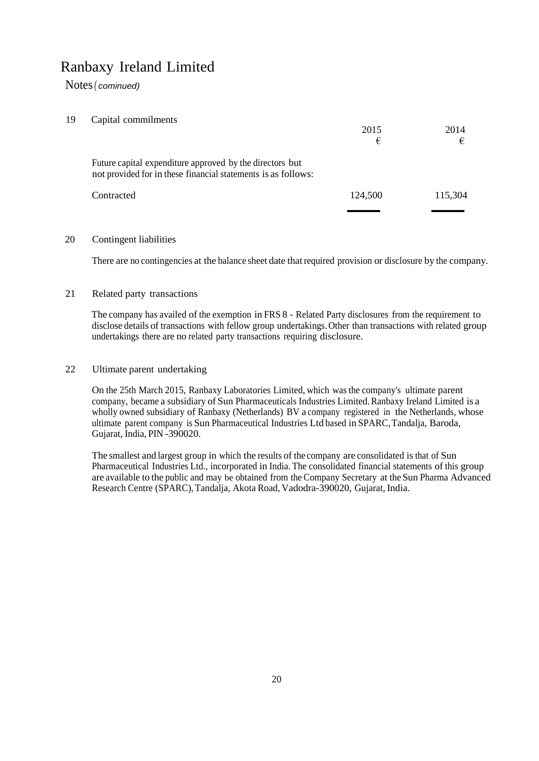Notes*( cominued)*

| 19 | Capital commilments |
|----|---------------------|
|----|---------------------|

|                                                                                                                           | 2015<br>€ | 2014<br>€ |
|---------------------------------------------------------------------------------------------------------------------------|-----------|-----------|
| Future capital expenditure approved by the directors but<br>not provided for in these financial statements is as follows: |           |           |
| Contracted                                                                                                                | 124,500   | 115,304   |
|                                                                                                                           |           |           |

#### 20 Contingent liabilities

There are no contingencies at the balance sheet date that required provision or disclosure by the company.

### 21 Related party transactions

The company has availed of the exemption in FRS 8 - Related Party disclosures from the requirement to disclose details of transactions with fellow group undertakings. Other than transactions with related group undertakings there are no related party transactions requiring disclosure.

### 22 Ultimate parent undertaking

On the 25th March 2015, Ranbaxy Laboratories Limited, which was the company's ultimate parent company, became a subsidiary of Sun Pharmaceuticals Industries Limited.Ranbaxy Ireland Limited is a wholly owned subsidiary of Ranbaxy (Netherlands) BV a company registered in the Netherlands, whose ultimate parent company is Sun Pharmaceutical Industries Ltd based in SPARC,Tandalja, Baroda, Gujarat, India, PIN -390020.

The smallest and largest group in which the results of the company are consolidated is that of Sun Pharmaceutical Industries Ltd., incorporated in India. The consolidated financial statements of this group are available to the public and may be obtained from the Company Secretary at the Sun Pharma Advanced Research Centre (SPARC),Tandalja, Akota Road, Vadodra-390020, Gujarat, India.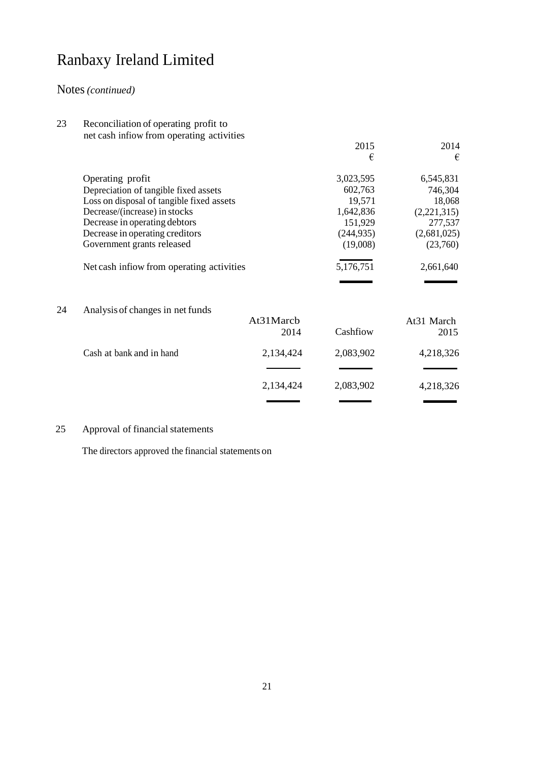### Notes*(continued)*

23 Reconciliation of operating profit to net cash infiow from operating activities

|    | $\frac{1}{2}$                             |           | 2015       | 2014        |
|----|-------------------------------------------|-----------|------------|-------------|
|    |                                           |           | €          | €           |
|    | Operating profit                          |           | 3,023,595  | 6,545,831   |
|    | Depreciation of tangible fixed assets     |           | 602,763    | 746,304     |
|    | Loss on disposal of tangible fixed assets |           | 19,571     | 18,068      |
|    | Decrease/(increase) in stocks             |           | 1,642,836  | (2,221,315) |
|    | Decrease in operating debtors             |           | 151,929    | 277,537     |
|    | Decrease in operating creditors           |           | (244, 935) | (2,681,025) |
|    | Government grants released                |           | (19,008)   | (23,760)    |
|    | Net cash inflow from operating activities |           | 5,176,751  | 2,661,640   |
|    |                                           |           |            |             |
| 24 | Analysis of changes in net funds          |           |            |             |
|    |                                           | At31Marcb |            | At31 March  |
|    |                                           | 2014      | Cashfiow   | 2015        |
|    | Cash at bank and in hand                  | 2,134,424 | 2,083,902  | 4,218,326   |
|    |                                           |           |            |             |
|    |                                           | 2,134,424 | 2,083,902  | 4,218,326   |
|    |                                           |           |            |             |

### 25 Approval of financial statements

The directors approved the financial statements on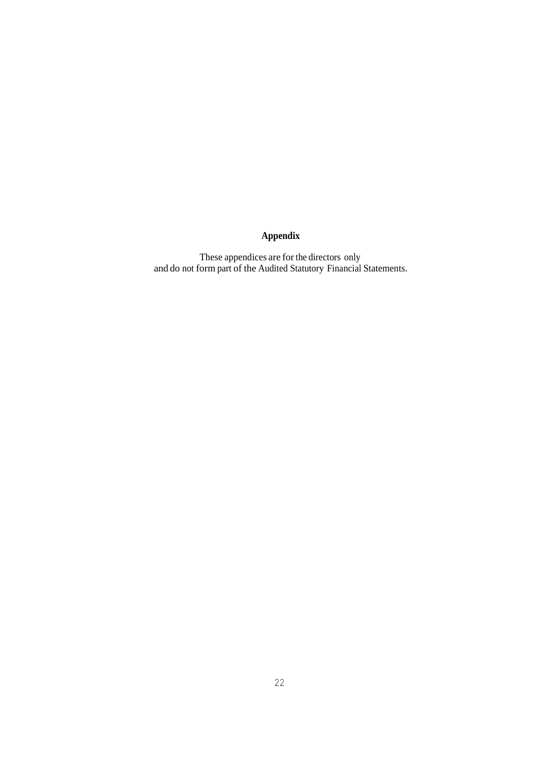### **Appendix**

These appendices are for the directors only and do not form part of the Audited Statutory Financial Statements.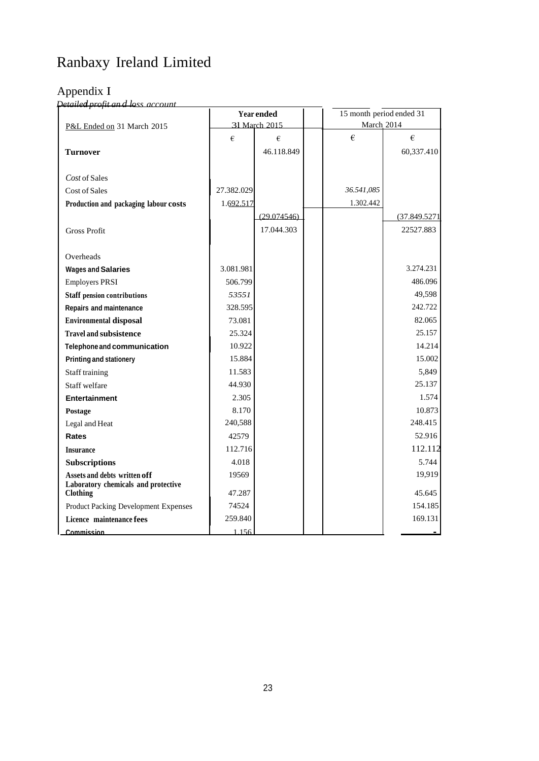## Appendix I

 $\mu$ *Petailed profit and loss account* 

|                                                        | Year ended |               |  | 15 month period ended 31 |              |
|--------------------------------------------------------|------------|---------------|--|--------------------------|--------------|
| P&L Ended on 31 March 2015                             |            | 31 March 2015 |  | March 2014               |              |
|                                                        | €          | €             |  | €                        | €            |
| <b>Turnover</b>                                        |            | 46.118.849    |  |                          | 60,337.410   |
|                                                        |            |               |  |                          |              |
| Cost of Sales                                          |            |               |  |                          |              |
| Cost of Sales                                          | 27.382.029 |               |  | 36.541,085               |              |
| Production and packaging labour costs                  | 1.692.517  |               |  | 1.302.442                |              |
|                                                        |            | (29.074546)   |  |                          | (37.849.5271 |
| <b>Gross Profit</b>                                    |            | 17.044.303    |  |                          | 22527.883    |
|                                                        |            |               |  |                          |              |
| Overheads                                              |            |               |  |                          |              |
| <b>Wages and Salaries</b>                              | 3.081.981  |               |  |                          | 3.274.231    |
| <b>Employers PRSI</b>                                  | 506.799    |               |  |                          | 486.096      |
| <b>Staff pension contributions</b>                     | 53551      |               |  |                          | 49,598       |
| <b>Repairs and maintenance</b>                         | 328.595    |               |  |                          | 242.722      |
| <b>Environmental disposal</b>                          | 73.081     |               |  |                          | 82.065       |
| <b>Travel and subsistence</b>                          | 25.324     |               |  |                          | 25.157       |
| Telephone and communication                            | 10.922     |               |  |                          | 14.214       |
| <b>Printing and stationery</b>                         | 15.884     |               |  |                          | 15.002       |
| Staff training                                         | 11.583     |               |  |                          | 5,849        |
| Staff welfare                                          | 44.930     |               |  |                          | 25.137       |
| <b>Entertainment</b>                                   | 2.305      |               |  |                          | 1.574        |
| Postage                                                | 8.170      |               |  |                          | 10.873       |
| Legal and Heat                                         | 240,588    |               |  |                          | 248.415      |
| Rates                                                  | 42579      |               |  |                          | 52.916       |
| <b>Insurance</b>                                       | 112.716    |               |  |                          | 112.112      |
| <b>Subscriptions</b>                                   | 4.018      |               |  |                          | 5.744        |
| Assets and debts written off                           | 19569      |               |  |                          | 19,919       |
| Laboratory chemicals and protective<br><b>Clothing</b> | 47.287     |               |  |                          | 45.645       |
| Product Packing Development Expenses                   | 74524      |               |  |                          | 154.185      |
| Licence maintenance fees                               | 259.840    |               |  |                          | 169.131      |
| Commission                                             | 1.156      |               |  |                          |              |